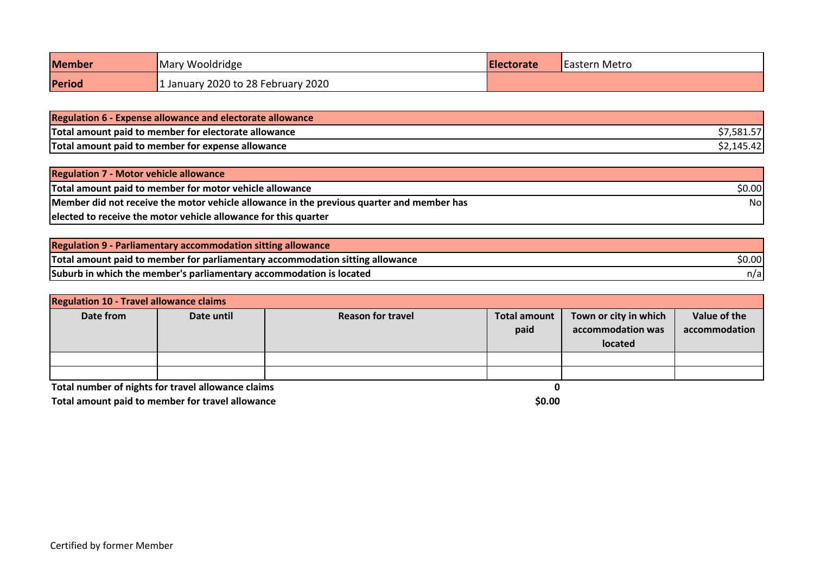| <b>Member</b> | Mary Wooldridge                  | <b>IElectorate</b> | <b>Eastern Metro</b> |
|---------------|----------------------------------|--------------------|----------------------|
| Period        | January 2020 to 28 February 2020 |                    |                      |

| <b>Regulation 6 - Expense allowance and electorate allowance</b> |            |
|------------------------------------------------------------------|------------|
| Total amount paid to member for electorate allowance             | \$7,581.57 |
| Total amount paid to member for expense allowance                | \$2,145.42 |

| <b>Regulation 7 - Motor vehicle allowance</b>                                             |        |
|-------------------------------------------------------------------------------------------|--------|
| Total amount paid to member for motor vehicle allowance                                   | \$0.00 |
| Member did not receive the motor vehicle allowance in the previous quarter and member has | Nol    |
| elected to receive the motor vehicle allowance for this quarter                           |        |

| <b>Regulation 9 - Parliamentary accommodation sitting allowance</b>           |        |
|-------------------------------------------------------------------------------|--------|
| Total amount paid to member for parliamentary accommodation sitting allowance | \$0.00 |
| Suburb in which the member's parliamentary accommodation is located           | n/al   |

| <b>Regulation 10 - Travel allowance claims</b>     |            |                          |                             |                                                       |                               |
|----------------------------------------------------|------------|--------------------------|-----------------------------|-------------------------------------------------------|-------------------------------|
| Date from                                          | Date until | <b>Reason for travel</b> | <b>Total amount</b><br>paid | Town or city in which<br>accommodation was<br>located | Value of the<br>accommodation |
|                                                    |            |                          |                             |                                                       |                               |
|                                                    |            |                          |                             |                                                       |                               |
| Total number of nights for travel allowance claims |            |                          |                             |                                                       |                               |
| Total amount paid to member for travel allowance   |            | \$0.00                   |                             |                                                       |                               |